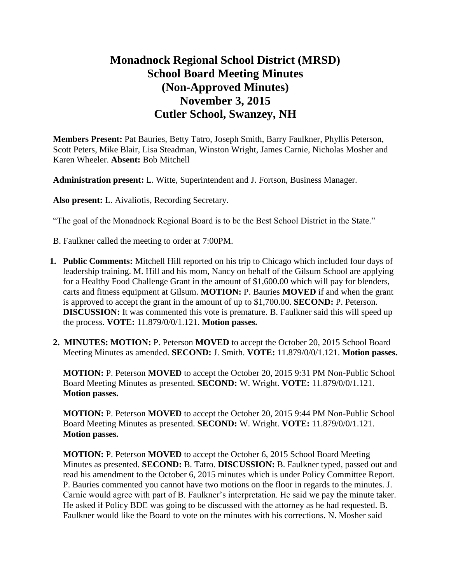# **Monadnock Regional School District (MRSD) School Board Meeting Minutes (Non-Approved Minutes) November 3, 2015 Cutler School, Swanzey, NH**

**Members Present:** Pat Bauries, Betty Tatro, Joseph Smith, Barry Faulkner, Phyllis Peterson, Scott Peters, Mike Blair, Lisa Steadman, Winston Wright, James Carnie, Nicholas Mosher and Karen Wheeler. **Absent:** Bob Mitchell

**Administration present:** L. Witte, Superintendent and J. Fortson, Business Manager.

**Also present:** L. Aivaliotis, Recording Secretary.

"The goal of the Monadnock Regional Board is to be the Best School District in the State."

- B. Faulkner called the meeting to order at 7:00PM.
- **1. Public Comments:** Mitchell Hill reported on his trip to Chicago which included four days of leadership training. M. Hill and his mom, Nancy on behalf of the Gilsum School are applying for a Healthy Food Challenge Grant in the amount of \$1,600.00 which will pay for blenders, carts and fitness equipment at Gilsum. **MOTION:** P. Bauries **MOVED** if and when the grant is approved to accept the grant in the amount of up to \$1,700.00. **SECOND:** P. Peterson. **DISCUSSION:** It was commented this vote is premature. B. Faulkner said this will speed up the process. **VOTE:** 11.879/0/0/1.121. **Motion passes.**
- **2. MINUTES: MOTION:** P. Peterson **MOVED** to accept the October 20, 2015 School Board Meeting Minutes as amended. **SECOND:** J. Smith. **VOTE:** 11.879/0/0/1.121. **Motion passes.**

**MOTION:** P. Peterson **MOVED** to accept the October 20, 2015 9:31 PM Non-Public School Board Meeting Minutes as presented. **SECOND:** W. Wright. **VOTE:** 11.879/0/0/1.121. **Motion passes.** 

**MOTION:** P. Peterson **MOVED** to accept the October 20, 2015 9:44 PM Non-Public School Board Meeting Minutes as presented. **SECOND:** W. Wright. **VOTE:** 11.879/0/0/1.121. **Motion passes.** 

**MOTION:** P. Peterson **MOVED** to accept the October 6, 2015 School Board Meeting Minutes as presented. **SECOND:** B. Tatro. **DISCUSSION:** B. Faulkner typed, passed out and read his amendment to the October 6, 2015 minutes which is under Policy Committee Report. P. Bauries commented you cannot have two motions on the floor in regards to the minutes. J. Carnie would agree with part of B. Faulkner's interpretation. He said we pay the minute taker. He asked if Policy BDE was going to be discussed with the attorney as he had requested. B. Faulkner would like the Board to vote on the minutes with his corrections. N. Mosher said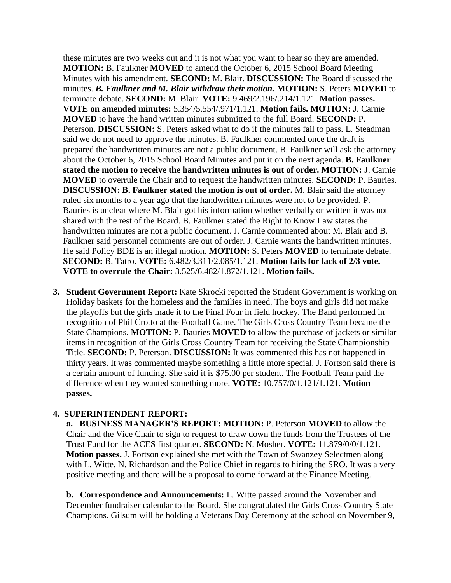these minutes are two weeks out and it is not what you want to hear so they are amended. **MOTION:** B. Faulkner **MOVED** to amend the October 6, 2015 School Board Meeting Minutes with his amendment. **SECOND:** M. Blair. **DISCUSSION:** The Board discussed the minutes. *B. Faulkner and M. Blair withdraw their motion.* **MOTION:** S. Peters **MOVED** to terminate debate. **SECOND:** M. Blair. **VOTE:** 9.469/2.196/.214/1.121. **Motion passes. VOTE on amended minutes:** 5.354/5.554/.971/1.121. **Motion fails. MOTION:** J. Carnie **MOVED** to have the hand written minutes submitted to the full Board. **SECOND:** P. Peterson. **DISCUSSION:** S. Peters asked what to do if the minutes fail to pass. L. Steadman said we do not need to approve the minutes. B. Faulkner commented once the draft is prepared the handwritten minutes are not a public document. B. Faulkner will ask the attorney about the October 6, 2015 School Board Minutes and put it on the next agenda. **B. Faulkner stated the motion to receive the handwritten minutes is out of order. MOTION:** J. Carnie **MOVED** to overrule the Chair and to request the handwritten minutes. **SECOND:** P. Bauries. **DISCUSSION: B. Faulkner stated the motion is out of order.** M. Blair said the attorney ruled six months to a year ago that the handwritten minutes were not to be provided. P. Bauries is unclear where M. Blair got his information whether verbally or written it was not shared with the rest of the Board. B. Faulkner stated the Right to Know Law states the handwritten minutes are not a public document. J. Carnie commented about M. Blair and B. Faulkner said personnel comments are out of order. J. Carnie wants the handwritten minutes. He said Policy BDE is an illegal motion. **MOTION:** S. Peters **MOVED** to terminate debate. **SECOND:** B. Tatro. **VOTE:** 6.482/3.311/2.085/1.121. **Motion fails for lack of 2/3 vote. VOTE to overrule the Chair:** 3.525/6.482/1.872/1.121. **Motion fails.** 

**3. Student Government Report:** Kate Skrocki reported the Student Government is working on Holiday baskets for the homeless and the families in need. The boys and girls did not make the playoffs but the girls made it to the Final Four in field hockey. The Band performed in recognition of Phil Crotto at the Football Game. The Girls Cross Country Team became the State Champions. **MOTION:** P. Bauries **MOVED** to allow the purchase of jackets or similar items in recognition of the Girls Cross Country Team for receiving the State Championship Title. **SECOND:** P. Peterson. **DISCUSSION:** It was commented this has not happened in thirty years. It was commented maybe something a little more special. J. Fortson said there is a certain amount of funding. She said it is \$75.00 per student. The Football Team paid the difference when they wanted something more. **VOTE:** 10.757/0/1.121/1.121. **Motion passes.** 

### **4. SUPERINTENDENT REPORT:**

 **a. BUSINESS MANAGER'S REPORT: MOTION:** P. Peterson **MOVED** to allow the Chair and the Vice Chair to sign to request to draw down the funds from the Trustees of the Trust Fund for the ACES first quarter. **SECOND:** N. Mosher. **VOTE:** 11.879/0/0/1.121. **Motion passes.** J. Fortson explained she met with the Town of Swanzey Selectmen along with L. Witte, N. Richardson and the Police Chief in regards to hiring the SRO. It was a very positive meeting and there will be a proposal to come forward at the Finance Meeting.

**b. Correspondence and Announcements:** L. Witte passed around the November and December fundraiser calendar to the Board. She congratulated the Girls Cross Country State Champions. Gilsum will be holding a Veterans Day Ceremony at the school on November 9,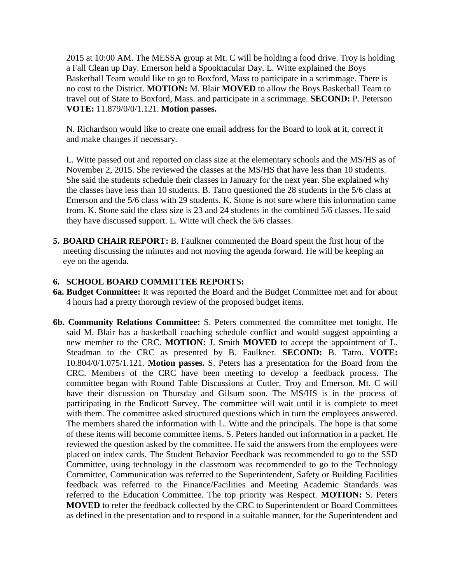2015 at 10:00 AM. The MESSA group at Mt. C will be holding a food drive. Troy is holding a Fall Clean up Day. Emerson held a Spooktacular Day. L. Witte explained the Boys Basketball Team would like to go to Boxford, Mass to participate in a scrimmage. There is no cost to the District. **MOTION:** M. Blair **MOVED** to allow the Boys Basketball Team to travel out of State to Boxford, Mass. and participate in a scrimmage. **SECOND:** P. Peterson **VOTE:** 11.879/0/0/1.121. **Motion passes.** 

N. Richardson would like to create one email address for the Board to look at it, correct it and make changes if necessary.

L. Witte passed out and reported on class size at the elementary schools and the MS/HS as of November 2, 2015. She reviewed the classes at the MS/HS that have less than 10 students. She said the students schedule their classes in January for the next year. She explained why the classes have less than 10 students. B. Tatro questioned the 28 students in the 5/6 class at Emerson and the 5/6 class with 29 students. K. Stone is not sure where this information came from. K. Stone said the class size is 23 and 24 students in the combined 5/6 classes. He said they have discussed support. L. Witte will check the 5/6 classes.

**5. BOARD CHAIR REPORT:** B. Faulkner commented the Board spent the first hour of the meeting discussing the minutes and not moving the agenda forward. He will be keeping an eye on the agenda.

### **6. SCHOOL BOARD COMMITTEE REPORTS:**

- **6a. Budget Committee:** It was reported the Board and the Budget Committee met and for about 4 hours had a pretty thorough review of the proposed budget items.
- **6b. Community Relations Committee:** S. Peters commented the committee met tonight. He said M. Blair has a basketball coaching schedule conflict and would suggest appointing a new member to the CRC. **MOTION:** J. Smith **MOVED** to accept the appointment of L. Steadman to the CRC as presented by B. Faulkner. **SECOND:** B. Tatro. **VOTE:**  10.804/0/1.075/1.121. **Motion passes.** S. Peters has a presentation for the Board from the CRC. Members of the CRC have been meeting to develop a feedback process. The committee began with Round Table Discussions at Cutler, Troy and Emerson. Mt. C will have their discussion on Thursday and Gilsum soon. The MS/HS is in the process of participating in the Endicott Survey. The committee will wait until it is complete to meet with them. The committee asked structured questions which in turn the employees answered. The members shared the information with L. Witte and the principals. The hope is that some of these items will become committee items. S. Peters handed out information in a packet. He reviewed the question asked by the committee. He said the answers from the employees were placed on index cards. The Student Behavior Feedback was recommended to go to the SSD Committee, using technology in the classroom was recommended to go to the Technology Committee, Communication was referred to the Superintendent, Safety or Building Facilities feedback was referred to the Finance/Facilities and Meeting Academic Standards was referred to the Education Committee. The top priority was Respect. **MOTION:** S. Peters **MOVED** to refer the feedback collected by the CRC to Superintendent or Board Committees as defined in the presentation and to respond in a suitable manner, for the Superintendent and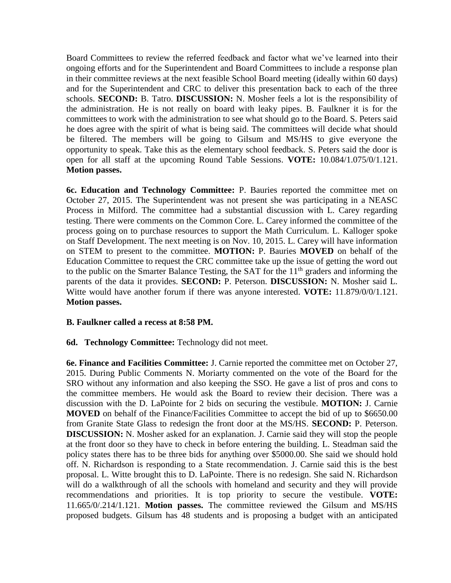Board Committees to review the referred feedback and factor what we've learned into their ongoing efforts and for the Superintendent and Board Committees to include a response plan in their committee reviews at the next feasible School Board meeting (ideally within 60 days) and for the Superintendent and CRC to deliver this presentation back to each of the three schools. **SECOND:** B. Tatro. **DISCUSSION:** N. Mosher feels a lot is the responsibility of the administration. He is not really on board with leaky pipes. B. Faulkner it is for the committees to work with the administration to see what should go to the Board. S. Peters said he does agree with the spirit of what is being said. The committees will decide what should be filtered. The members will be going to Gilsum and MS/HS to give everyone the opportunity to speak. Take this as the elementary school feedback. S. Peters said the door is open for all staff at the upcoming Round Table Sessions. **VOTE:** 10.084/1.075/0/1.121. **Motion passes.** 

 **6c. Education and Technology Committee:** P. Bauries reported the committee met on October 27, 2015. The Superintendent was not present she was participating in a NEASC Process in Milford. The committee had a substantial discussion with L. Carey regarding testing. There were comments on the Common Core. L. Carey informed the committee of the process going on to purchase resources to support the Math Curriculum. L. Kalloger spoke on Staff Development. The next meeting is on Nov. 10, 2015. L. Carey will have information on STEM to present to the committee. **MOTION:** P. Bauries **MOVED** on behalf of the Education Committee to request the CRC committee take up the issue of getting the word out to the public on the Smarter Balance Testing, the SAT for the  $11<sup>th</sup>$  graders and informing the parents of the data it provides. **SECOND:** P. Peterson. **DISCUSSION:** N. Mosher said L. Witte would have another forum if there was anyone interested. **VOTE:** 11.879/0/0/1.121. **Motion passes.** 

### **B. Faulkner called a recess at 8:58 PM.**

### **6d. Technology Committee:** Technology did not meet.

 **6e. Finance and Facilities Committee:** J. Carnie reported the committee met on October 27, 2015. During Public Comments N. Moriarty commented on the vote of the Board for the SRO without any information and also keeping the SSO. He gave a list of pros and cons to the committee members. He would ask the Board to review their decision. There was a discussion with the D. LaPointe for 2 bids on securing the vestibule. **MOTION:** J. Carnie **MOVED** on behalf of the Finance/Facilities Committee to accept the bid of up to \$6650.00 from Granite State Glass to redesign the front door at the MS/HS. **SECOND:** P. Peterson. **DISCUSSION:** N. Mosher asked for an explanation. J. Carnie said they will stop the people at the front door so they have to check in before entering the building. L. Steadman said the policy states there has to be three bids for anything over \$5000.00. She said we should hold off. N. Richardson is responding to a State recommendation. J. Carnie said this is the best proposal. L. Witte brought this to D. LaPointe. There is no redesign. She said N. Richardson will do a walkthrough of all the schools with homeland and security and they will provide recommendations and priorities. It is top priority to secure the vestibule. **VOTE:**  11.665/0/.214/1.121. **Motion passes.** The committee reviewed the Gilsum and MS/HS proposed budgets. Gilsum has 48 students and is proposing a budget with an anticipated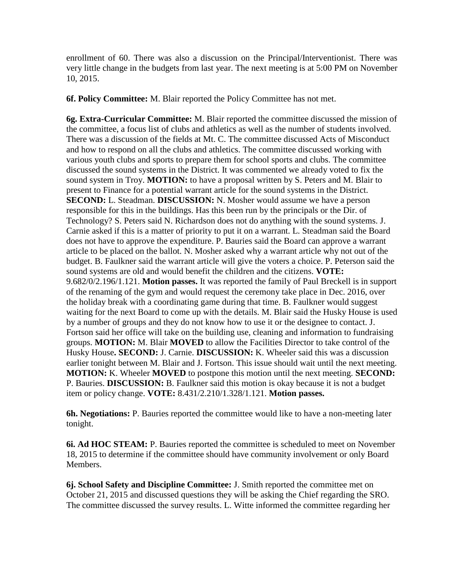enrollment of 60. There was also a discussion on the Principal/Interventionist. There was very little change in the budgets from last year. The next meeting is at 5:00 PM on November 10, 2015.

**6f. Policy Committee:** M. Blair reported the Policy Committee has not met.

**6g. Extra-Curricular Committee:** M. Blair reported the committee discussed the mission of the committee, a focus list of clubs and athletics as well as the number of students involved. There was a discussion of the fields at Mt. C. The committee discussed Acts of Misconduct and how to respond on all the clubs and athletics. The committee discussed working with various youth clubs and sports to prepare them for school sports and clubs. The committee discussed the sound systems in the District. It was commented we already voted to fix the sound system in Troy. **MOTION:** to have a proposal written by S. Peters and M. Blair to present to Finance for a potential warrant article for the sound systems in the District. **SECOND:** L. Steadman. **DISCUSSION:** N. Mosher would assume we have a person responsible for this in the buildings. Has this been run by the principals or the Dir. of Technology? S. Peters said N. Richardson does not do anything with the sound systems. J. Carnie asked if this is a matter of priority to put it on a warrant. L. Steadman said the Board does not have to approve the expenditure. P. Bauries said the Board can approve a warrant article to be placed on the ballot. N. Mosher asked why a warrant article why not out of the budget. B. Faulkner said the warrant article will give the voters a choice. P. Peterson said the sound systems are old and would benefit the children and the citizens. **VOTE:**  9.682/0/2.196/1.121. **Motion passes.** It was reported the family of Paul Breckell is in support of the renaming of the gym and would request the ceremony take place in Dec. 2016, over the holiday break with a coordinating game during that time. B. Faulkner would suggest waiting for the next Board to come up with the details. M. Blair said the Husky House is used by a number of groups and they do not know how to use it or the designee to contact. J. Fortson said her office will take on the building use, cleaning and information to fundraising groups. **MOTION:** M. Blair **MOVED** to allow the Facilities Director to take control of the Husky House**. SECOND:** J. Carnie. **DISCUSSION:** K. Wheeler said this was a discussion earlier tonight between M. Blair and J. Fortson. This issue should wait until the next meeting. **MOTION:** K. Wheeler **MOVED** to postpone this motion until the next meeting. **SECOND:**  P. Bauries. **DISCUSSION:** B. Faulkner said this motion is okay because it is not a budget item or policy change. **VOTE:** 8.431/2.210/1.328/1.121. **Motion passes.** 

**6h. Negotiations:** P. Bauries reported the committee would like to have a non-meeting later tonight.

**6i. Ad HOC STEAM:** P. Bauries reported the committee is scheduled to meet on November 18, 2015 to determine if the committee should have community involvement or only Board Members.

**6j. School Safety and Discipline Committee:** J. Smith reported the committee met on October 21, 2015 and discussed questions they will be asking the Chief regarding the SRO. The committee discussed the survey results. L. Witte informed the committee regarding her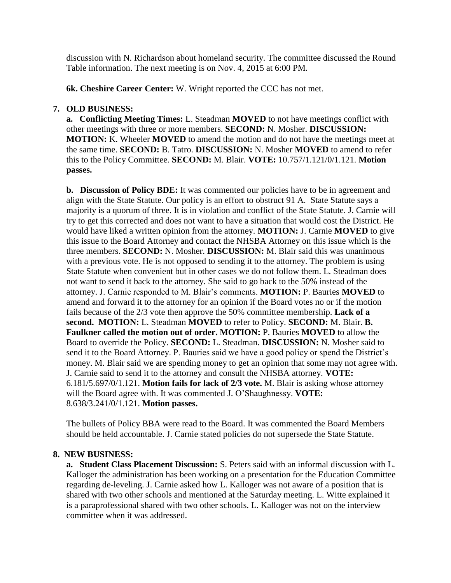discussion with N. Richardson about homeland security. The committee discussed the Round Table information. The next meeting is on Nov. 4, 2015 at 6:00 PM.

**6k. Cheshire Career Center:** W. Wright reported the CCC has not met.

# **7. OLD BUSINESS:**

 **a. Conflicting Meeting Times:** L. Steadman **MOVED** to not have meetings conflict with other meetings with three or more members. **SECOND:** N. Mosher. **DISCUSSION: MOTION:** K. Wheeler **MOVED** to amend the motion and do not have the meetings meet at the same time. **SECOND:** B. Tatro. **DISCUSSION:** N. Mosher **MOVED** to amend to refer this to the Policy Committee. **SECOND:** M. Blair. **VOTE:** 10.757/1.121/0/1.121. **Motion passes.** 

**b.** Discussion of Policy BDE: It was commented our policies have to be in agreement and align with the State Statute. Our policy is an effort to obstruct 91 A. State Statute says a majority is a quorum of three. It is in violation and conflict of the State Statute. J. Carnie will try to get this corrected and does not want to have a situation that would cost the District. He would have liked a written opinion from the attorney. **MOTION:** J. Carnie **MOVED** to give this issue to the Board Attorney and contact the NHSBA Attorney on this issue which is the three members. **SECOND:** N. Mosher. **DISCUSSION:** M. Blair said this was unanimous with a previous vote. He is not opposed to sending it to the attorney. The problem is using State Statute when convenient but in other cases we do not follow them. L. Steadman does not want to send it back to the attorney. She said to go back to the 50% instead of the attorney. J. Carnie responded to M. Blair's comments. **MOTION:** P. Bauries **MOVED** to amend and forward it to the attorney for an opinion if the Board votes no or if the motion fails because of the 2/3 vote then approve the 50% committee membership. **Lack of a second. MOTION:** L. Steadman **MOVED** to refer to Policy. **SECOND:** M. Blair. **B. Faulkner called the motion out of order. MOTION:** P. Bauries **MOVED** to allow the Board to override the Policy. **SECOND:** L. Steadman. **DISCUSSION:** N. Mosher said to send it to the Board Attorney. P. Bauries said we have a good policy or spend the District's money. M. Blair said we are spending money to get an opinion that some may not agree with. J. Carnie said to send it to the attorney and consult the NHSBA attorney. **VOTE:**  6.181/5.697/0/1.121. **Motion fails for lack of 2/3 vote.** M. Blair is asking whose attorney will the Board agree with. It was commented J. O'Shaughnessy. **VOTE:**  8.638/3.241/0/1.121. **Motion passes.** 

The bullets of Policy BBA were read to the Board. It was commented the Board Members should be held accountable. J. Carnie stated policies do not supersede the State Statute.

### **8. NEW BUSINESS:**

**a. Student Class Placement Discussion:** S. Peters said with an informal discussion with L. Kalloger the administration has been working on a presentation for the Education Committee regarding de-leveling. J. Carnie asked how L. Kalloger was not aware of a position that is shared with two other schools and mentioned at the Saturday meeting. L. Witte explained it is a paraprofessional shared with two other schools. L. Kalloger was not on the interview committee when it was addressed.